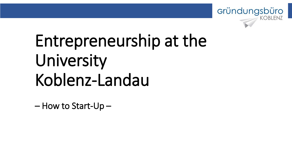

# Entrepreneurship at the University Koblenz-Landau

– How to Start-Up –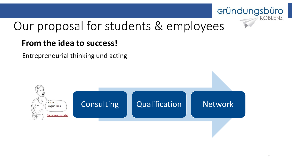

# Our proposal for students & employees

### **From the idea to success!**

Entrepreneurial thinking und acting

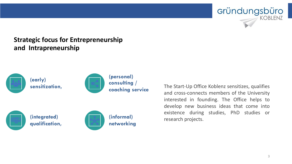#### **Strategic focus for Entrepreneurship and Intrapreneurship**



The Start-Up Office Koblenz sensitizes, qualifies and cross-connects members of the University interested in founding. The Office helps to develop new business ideas that come into existence during studies, PhD studies or research projects.

Gründungsbüro

**KOBLENZ**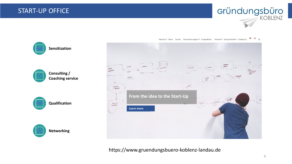



About us ▼ News Events Foundation support ▼ Competitions Network ▼ Startup Stories ▼ Contact Us ■ 器 Q

https://www.gruendungsbuero-koblenz-landau.de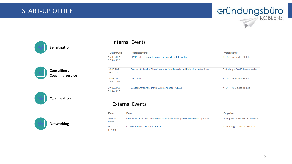









#### Internal Events

| Datum/Zeit                   | <b>Veranstaltung</b>                                                      | Veranstalter                   |
|------------------------------|---------------------------------------------------------------------------|--------------------------------|
| $15.05.2021 -$<br>17.07.2021 | SPARK ideas competition of the Foundersclub Freiburg                      | <b>KTUR-Projekt des ZIFETs</b> |
| 18.05.2021<br>14:30-17:00    | Freiberuflichkeit – Fine Chance für Studierende und Uni-Mitarbeiter*innen | Gründungsbüro Koblenz-Landau   |
| 20.05.2021<br>13:30-14:30    | <b>PhD Talks</b>                                                          | <b>KTUR-Projekt des ZIFETs</b> |
| $07.09.2021 -$<br>11.09.2021 | Global Entrepreneurship Summer School (GESS)                              | <b>KTUR-Projekt des ZIFETs</b> |

#### External Events

| Date                    | Event                                                                  | Organizer                      |
|-------------------------|------------------------------------------------------------------------|--------------------------------|
| <b>Various</b><br>dates | Online-Seminar und Online-Workshops der Falling Walls Foundation gGmbH | Young Entrepreneurs in Science |
| 04.05.2021<br>$5-7$ pm  | Crowdfunding - Q&A with Bernie                                         | Gründungsbüro Kaiserslautern   |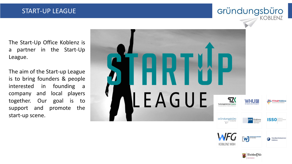#### START -UP LEAGUE

#### Gründungsbüro KOBLENZ

Rheinland Dfalz STAATSKANZLE

The Start -Up Office Koblenz is a partner in the Start -Up League .

The aim of the Start -up League is to bring founders & people interested in founding a company and local players together. Our goal is to support and promote the start -up scene .

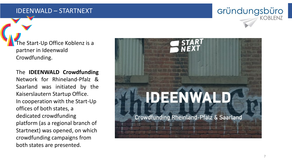#### IDEENWALD – STARTNEXT

The Start -Up Office Koblenz is a partner in Ideenwald Crowdfunding.

**The IDEENWALD Crowdfunding** Network for Rhineland -Pfalz & Saarland was initiated by the Kaiserslautern Startup Office . In cooperation with the Start -Up offices of both states, a dedicated crowdfunding platform (as a regional branch of Startnext) was opened, on which crowdfunding campaigns from both states are presented.



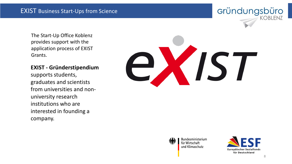application process of ordius. The Start -Up Office Koblenz provides support with the application process of EXIST Grants .

#### $G = G \cdot 1 \cdot 1$ **EXIST - Gründerstipendium**

supports students, graduates and scientists from universities and non university research institutions who are interested in founding a company.

# IS



Bundesministerium für Wirtschaft und Klimaschutz



Gründungsbüro

KOBLENZ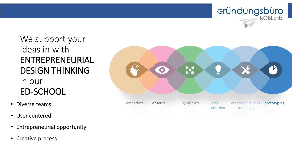

## We support your Ideas in with ENTREPRENEURIAL DESIGN THINKING in our ED-SCHOOL

- Diverse teams
- User centered
- Entrepreneurial opportunity
- Creative process

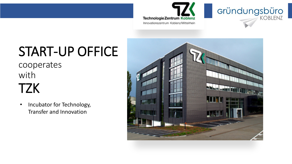



# START-UP OFFICE

cooperates with **TZK** 

• Incubator for Technology, Transfer and Innovation

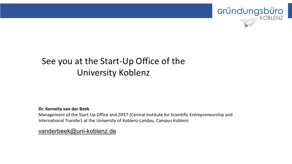

# See you at the Start-Up Office of the University Koblenz

#### **Dr. Kornelia van der Beek**

Management of the Start-Up Office and ZIFET (Central Institute for Scientific Entrepreneurship and International Transfer) at the University of Koblenz-Landau, Campus Koblenz

[vanderbeek@uni-koblenz.de](mailto:vanderbeek@uni-koblenz.de)